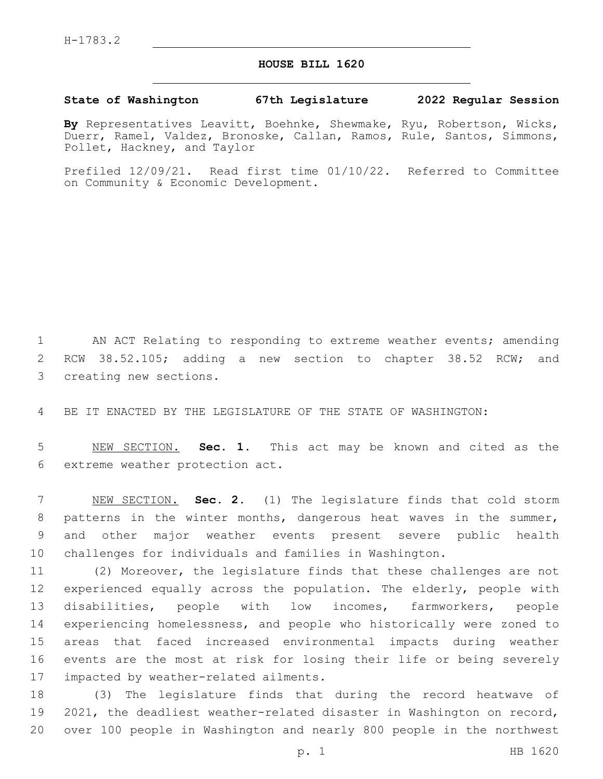## **HOUSE BILL 1620**

## **State of Washington 67th Legislature 2022 Regular Session**

**By** Representatives Leavitt, Boehnke, Shewmake, Ryu, Robertson, Wicks, Duerr, Ramel, Valdez, Bronoske, Callan, Ramos, Rule, Santos, Simmons, Pollet, Hackney, and Taylor

Prefiled 12/09/21. Read first time 01/10/22. Referred to Committee on Community & Economic Development.

1 AN ACT Relating to responding to extreme weather events; amending 2 RCW 38.52.105; adding a new section to chapter 38.52 RCW; and 3 creating new sections.

4 BE IT ENACTED BY THE LEGISLATURE OF THE STATE OF WASHINGTON:

5 NEW SECTION. **Sec. 1.** This act may be known and cited as the 6 extreme weather protection act.

 NEW SECTION. **Sec. 2.** (1) The legislature finds that cold storm 8 patterns in the winter months, dangerous heat waves in the summer, and other major weather events present severe public health challenges for individuals and families in Washington.

 (2) Moreover, the legislature finds that these challenges are not experienced equally across the population. The elderly, people with disabilities, people with low incomes, farmworkers, people experiencing homelessness, and people who historically were zoned to areas that faced increased environmental impacts during weather events are the most at risk for losing their life or being severely 17 impacted by weather-related ailments.

18 (3) The legislature finds that during the record heatwave of 19 2021, the deadliest weather-related disaster in Washington on record, 20 over 100 people in Washington and nearly 800 people in the northwest

p. 1 HB 1620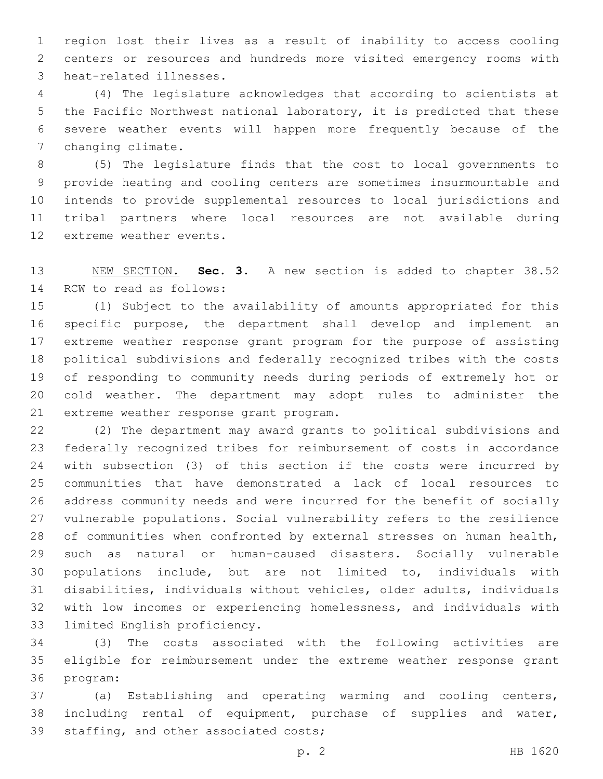region lost their lives as a result of inability to access cooling centers or resources and hundreds more visited emergency rooms with 3 heat-related illnesses.

 (4) The legislature acknowledges that according to scientists at the Pacific Northwest national laboratory, it is predicted that these severe weather events will happen more frequently because of the 7 changing climate.

 (5) The legislature finds that the cost to local governments to provide heating and cooling centers are sometimes insurmountable and intends to provide supplemental resources to local jurisdictions and tribal partners where local resources are not available during 12 extreme weather events.

 NEW SECTION. **Sec. 3.** A new section is added to chapter 38.52 14 RCW to read as follows:

 (1) Subject to the availability of amounts appropriated for this specific purpose, the department shall develop and implement an extreme weather response grant program for the purpose of assisting political subdivisions and federally recognized tribes with the costs of responding to community needs during periods of extremely hot or cold weather. The department may adopt rules to administer the 21 extreme weather response grant program.

 (2) The department may award grants to political subdivisions and federally recognized tribes for reimbursement of costs in accordance with subsection (3) of this section if the costs were incurred by communities that have demonstrated a lack of local resources to address community needs and were incurred for the benefit of socially vulnerable populations. Social vulnerability refers to the resilience of communities when confronted by external stresses on human health, such as natural or human-caused disasters. Socially vulnerable populations include, but are not limited to, individuals with disabilities, individuals without vehicles, older adults, individuals with low incomes or experiencing homelessness, and individuals with 33 limited English proficiency.

 (3) The costs associated with the following activities are eligible for reimbursement under the extreme weather response grant 36 program:

 (a) Establishing and operating warming and cooling centers, including rental of equipment, purchase of supplies and water, 39 staffing, and other associated costs;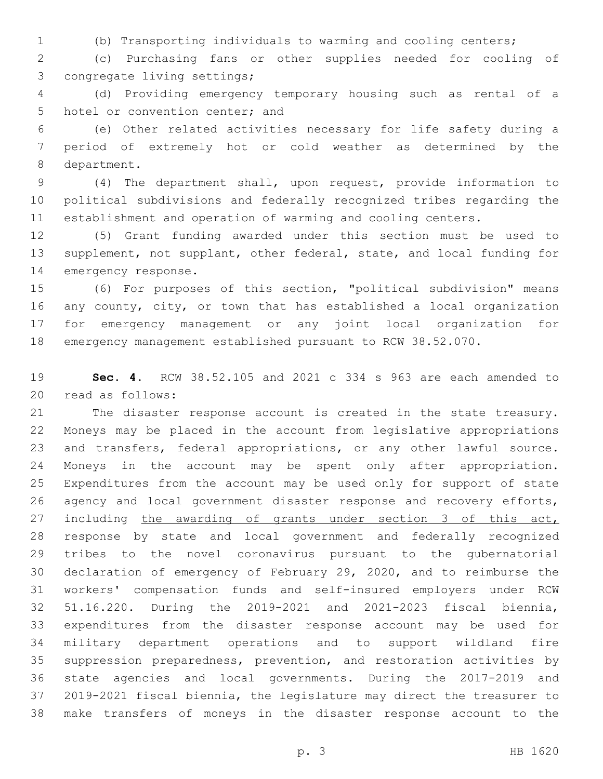(b) Transporting individuals to warming and cooling centers;

 (c) Purchasing fans or other supplies needed for cooling of 3 congregate living settings;

 (d) Providing emergency temporary housing such as rental of a 5 hotel or convention center; and

 (e) Other related activities necessary for life safety during a period of extremely hot or cold weather as determined by the 8 department.

 (4) The department shall, upon request, provide information to political subdivisions and federally recognized tribes regarding the establishment and operation of warming and cooling centers.

 (5) Grant funding awarded under this section must be used to supplement, not supplant, other federal, state, and local funding for 14 emergency response.

 (6) For purposes of this section, "political subdivision" means any county, city, or town that has established a local organization for emergency management or any joint local organization for emergency management established pursuant to RCW 38.52.070.

 **Sec. 4.** RCW 38.52.105 and 2021 c 334 s 963 are each amended to 20 read as follows:

 The disaster response account is created in the state treasury. Moneys may be placed in the account from legislative appropriations and transfers, federal appropriations, or any other lawful source. Moneys in the account may be spent only after appropriation. Expenditures from the account may be used only for support of state agency and local government disaster response and recovery efforts, 27 including the awarding of grants under section 3 of this act, response by state and local government and federally recognized tribes to the novel coronavirus pursuant to the gubernatorial declaration of emergency of February 29, 2020, and to reimburse the workers' compensation funds and self-insured employers under RCW 51.16.220. During the 2019-2021 and 2021-2023 fiscal biennia, expenditures from the disaster response account may be used for military department operations and to support wildland fire suppression preparedness, prevention, and restoration activities by state agencies and local governments. During the 2017-2019 and 2019-2021 fiscal biennia, the legislature may direct the treasurer to make transfers of moneys in the disaster response account to the